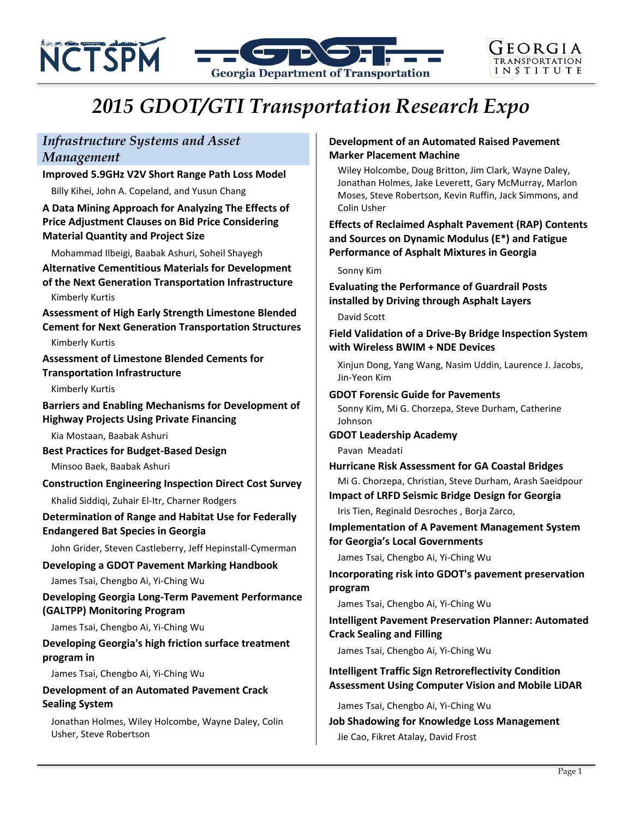

# *2015 GDOT/GTI Transportation Research Expo*

# *Infrastructure Systems and Asset Management*

#### **Improved 5.9GHz V2V Short Range Path Loss Model**

Billy Kihei, John A. Copeland, and Yusun Chang

# **A Data Mining Approach for Analyzing The Effects of Price Adjustment Clauses on Bid Price Considering Material Quantity and Project Size**

Mohammad Ilbeigi, Baabak Ashuri, Soheil Shayegh

**Alternative Cementitious Materials for Development of the Next Generation Transportation Infrastructure**

#### Kimberly Kurtis

**Assessment of High Early Strength Limestone Blended Cement for Next Generation Transportation Structures**

Kimberly Kurtis

**Assessment of Limestone Blended Cements for Transportation Infrastructure**

Kimberly Kurtis

**Barriers and Enabling Mechanisms for Development of Highway Projects Using Private Financing**

Kia Mostaan, Baabak Ashuri

**Best Practices for Budget-Based Design**

Minsoo Baek, Baabak Ashuri

#### **Construction Engineering Inspection Direct Cost Survey**

Khalid Siddiqi, Zuhair El-Itr, Charner Rodgers

#### **Determination of Range and Habitat Use for Federally Endangered Bat Species in Georgia**

John Grider, Steven Castleberry, Jeff Hepinstall-Cymerman

# **Developing a GDOT Pavement Marking Handbook**

James Tsai, Chengbo Ai, Yi-Ching Wu

#### **Developing Georgia Long-Term Pavement Performance (GALTPP) Monitoring Program**

James Tsai, Chengbo Ai, Yi-Ching Wu

# **Developing Georgia's high friction surface treatment program in**

James Tsai, Chengbo Ai, Yi-Ching Wu

# **Development of an Automated Pavement Crack Sealing System**

Jonathan Holmes, Wiley Holcombe, Wayne Daley, Colin Usher, Steve Robertson

# **Development of an Automated Raised Pavement Marker Placement Machine**

Wiley Holcombe, Doug Britton, Jim Clark, Wayne Daley, Jonathan Holmes, Jake Leverett, Gary McMurray, Marlon Moses, Steve Robertson, Kevin Ruffin, Jack Simmons, and Colin Usher

# **Effects of Reclaimed Asphalt Pavement (RAP) Contents and Sources on Dynamic Modulus (E\*) and Fatigue Performance of Asphalt Mixtures in Georgia**

#### Sonny Kim

**Evaluating the Performance of Guardrail Posts installed by Driving through Asphalt Layers**

David Scott

**Field Validation of a Drive-By Bridge Inspection System with Wireless BWIM + NDE Devices**

Xinjun Dong, Yang Wang, Nasim Uddin, Laurence J. Jacobs, Jin-Yeon Kim

#### **GDOT Forensic Guide for Pavements**

Sonny Kim, Mi G. Chorzepa, Steve Durham, Catherine Johnson

#### **GDOT Leadership Academy**

Pavan Meadati

**Hurricane Risk Assessment for GA Coastal Bridges** Mi G. Chorzepa, Christian, Steve Durham, Arash Saeidpour

#### **Impact of LRFD Seismic Bridge Design for Georgia**

Iris Tien, Reginald Desroches , Borja Zarco,

#### **Implementation of A Pavement Management System for Georgia's Local Governments**

James Tsai, Chengbo Ai, Yi-Ching Wu

**Incorporating risk into GDOT's pavement preservation program** 

James Tsai, Chengbo Ai, Yi-Ching Wu

# **Intelligent Pavement Preservation Planner: Automated Crack Sealing and Filling**

James Tsai, Chengbo Ai, Yi-Ching Wu

# **Intelligent Traffic Sign Retroreflectivity Condition Assessment Using Computer Vision and Mobile LiDAR**

James Tsai, Chengbo Ai, Yi-Ching Wu

**Job Shadowing for Knowledge Loss Management** Jie Cao, Fikret Atalay, David Frost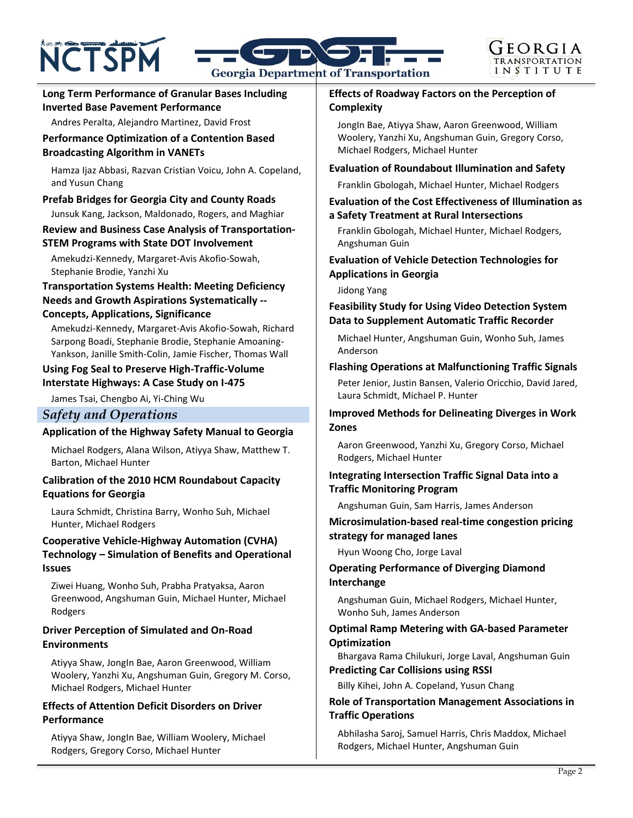# **NCTSPM**



# **Long Term Performance of Granular Bases Including Inverted Base Pavement Performance**

Andres Peralta, Alejandro Martinez, David Frost

#### **Performance Optimization of a Contention Based Broadcasting Algorithm in VANETs**

Hamza Ijaz Abbasi, Razvan Cristian Voicu, John A. Copeland, and Yusun Chang

#### **Prefab Bridges for Georgia City and County Roads** Junsuk Kang, Jackson, Maldonado, Rogers, and Maghiar

# **Review and Business Case Analysis of Transportation-STEM Programs with State DOT Involvement**

Amekudzi-Kennedy, Margaret-Avis Akofio-Sowah, Stephanie Brodie, Yanzhi Xu

#### **Transportation Systems Health: Meeting Deficiency Needs and Growth Aspirations Systematically -- Concepts, Applications, Significance**

Amekudzi-Kennedy, Margaret-Avis Akofio-Sowah, Richard Sarpong Boadi, Stephanie Brodie, Stephanie Amoaning-Yankson, Janille Smith-Colin, Jamie Fischer, Thomas Wall

#### **Using Fog Seal to Preserve High-Traffic-Volume Interstate Highways: A Case Study on I-475**

James Tsai, Chengbo Ai, Yi-Ching Wu

# *Safety and Operations*

# **Application of the Highway Safety Manual to Georgia**

Michael Rodgers, Alana Wilson, Atiyya Shaw, Matthew T. Barton, Michael Hunter

#### **Calibration of the 2010 HCM Roundabout Capacity Equations for Georgia**

Laura Schmidt, Christina Barry, Wonho Suh, Michael Hunter, Michael Rodgers

# **Cooperative Vehicle-Highway Automation (CVHA) Technology – Simulation of Benefits and Operational Issues**

Ziwei Huang, Wonho Suh, Prabha Pratyaksa, Aaron Greenwood, Angshuman Guin, Michael Hunter, Michael Rodgers

# **Driver Perception of Simulated and On-Road Environments**

Atiyya Shaw, JongIn Bae, Aaron Greenwood, William Woolery, Yanzhi Xu, Angshuman Guin, Gregory M. Corso, Michael Rodgers, Michael Hunter

# **Effects of Attention Deficit Disorders on Driver Performance**

Atiyya Shaw, JongIn Bae, William Woolery, Michael Rodgers, Gregory Corso, Michael Hunter

# **Effects of Roadway Factors on the Perception of Complexity**

JongIn Bae, Atiyya Shaw, Aaron Greenwood, William Woolery, Yanzhi Xu, Angshuman Guin, Gregory Corso, Michael Rodgers, Michael Hunter

# **Evaluation of Roundabout Illumination and Safety**

Franklin Gbologah, Michael Hunter, Michael Rodgers

#### **Evaluation of the Cost Effectiveness of Illumination as a Safety Treatment at Rural Intersections**

Franklin Gbologah, Michael Hunter, Michael Rodgers, Angshuman Guin

#### **Evaluation of Vehicle Detection Technologies for Applications in Georgia**

Jidong Yang

#### **Feasibility Study for Using Video Detection System Data to Supplement Automatic Traffic Recorder**

Michael Hunter, Angshuman Guin, Wonho Suh, James Anderson

# **Flashing Operations at Malfunctioning Traffic Signals**

Peter Jenior, Justin Bansen, Valerio Oricchio, David Jared, Laura Schmidt, Michael P. Hunter

# **Improved Methods for Delineating Diverges in Work Zones**

Aaron Greenwood, Yanzhi Xu, Gregory Corso, Michael Rodgers, Michael Hunter

# **Integrating Intersection Traffic Signal Data into a Traffic Monitoring Program**

Angshuman Guin, Sam Harris, James Anderson

# **Microsimulation-based real-time congestion pricing strategy for managed lanes**

Hyun Woong Cho, Jorge Laval

# **Operating Performance of Diverging Diamond Interchange**

Angshuman Guin, Michael Rodgers, Michael Hunter, Wonho Suh, James Anderson

# **Optimal Ramp Metering with GA-based Parameter Optimization**

Bhargava Rama Chilukuri, Jorge Laval, Angshuman Guin

**Predicting Car Collisions using RSSI**

Billy Kihei, John A. Copeland, Yusun Chang

# **Role of Transportation Management Associations in Traffic Operations**

Abhilasha Saroj, Samuel Harris, Chris Maddox, Michael Rodgers, Michael Hunter, Angshuman Guin